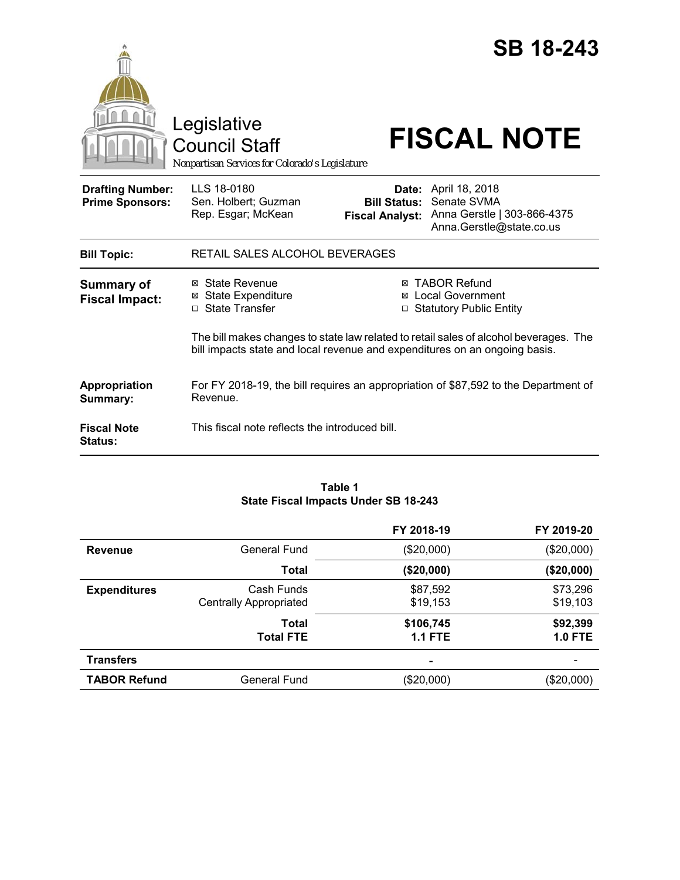|                                                   | Legislative<br><b>Council Staff</b><br>Nonpartisan Services for Colorado's Legislature                                                          |                                               | <b>SB 18-243</b><br><b>FISCAL NOTE</b>                                                                                                                            |
|---------------------------------------------------|-------------------------------------------------------------------------------------------------------------------------------------------------|-----------------------------------------------|-------------------------------------------------------------------------------------------------------------------------------------------------------------------|
| <b>Drafting Number:</b><br><b>Prime Sponsors:</b> | LLS 18-0180<br>Sen. Holbert; Guzman<br>Rep. Esgar; McKean                                                                                       | <b>Bill Status:</b><br><b>Fiscal Analyst:</b> | Date: April 18, 2018<br>Senate SVMA<br>Anna Gerstle   303-866-4375<br>Anna.Gerstle@state.co.us                                                                    |
| <b>Bill Topic:</b>                                | RETAIL SALES ALCOHOL BEVERAGES                                                                                                                  |                                               |                                                                                                                                                                   |
| <b>Summary of</b><br><b>Fiscal Impact:</b>        | ⊠ State Revenue<br><b>⊠ State Expenditure</b><br>□ State Transfer<br>bill impacts state and local revenue and expenditures on an ongoing basis. |                                               | ⊠ TABOR Refund<br><b>⊠</b> Local Government<br>□ Statutory Public Entity<br>The bill makes changes to state law related to retail sales of alcohol beverages. The |
| Appropriation<br>Summary:                         | For FY 2018-19, the bill requires an appropriation of \$87,592 to the Department of<br>Revenue.                                                 |                                               |                                                                                                                                                                   |
| <b>Fiscal Note</b><br>Status:                     | This fiscal note reflects the introduced bill.                                                                                                  |                                               |                                                                                                                                                                   |

#### **Table 1 State Fiscal Impacts Under SB 18-243**

|                     |                                             | FY 2018-19                  | FY 2019-20                 |
|---------------------|---------------------------------------------|-----------------------------|----------------------------|
| <b>Revenue</b>      | General Fund                                | (\$20,000)                  | (\$20,000)                 |
|                     | <b>Total</b>                                | (\$20,000)                  | (\$20,000)                 |
| <b>Expenditures</b> | Cash Funds<br><b>Centrally Appropriated</b> | \$87,592<br>\$19,153        | \$73,296<br>\$19,103       |
|                     | Total<br><b>Total FTE</b>                   | \$106,745<br><b>1.1 FTE</b> | \$92,399<br><b>1.0 FTE</b> |
| <b>Transfers</b>    |                                             | -                           |                            |
| <b>TABOR Refund</b> | <b>General Fund</b>                         | (\$20,000)                  | (\$20,000)                 |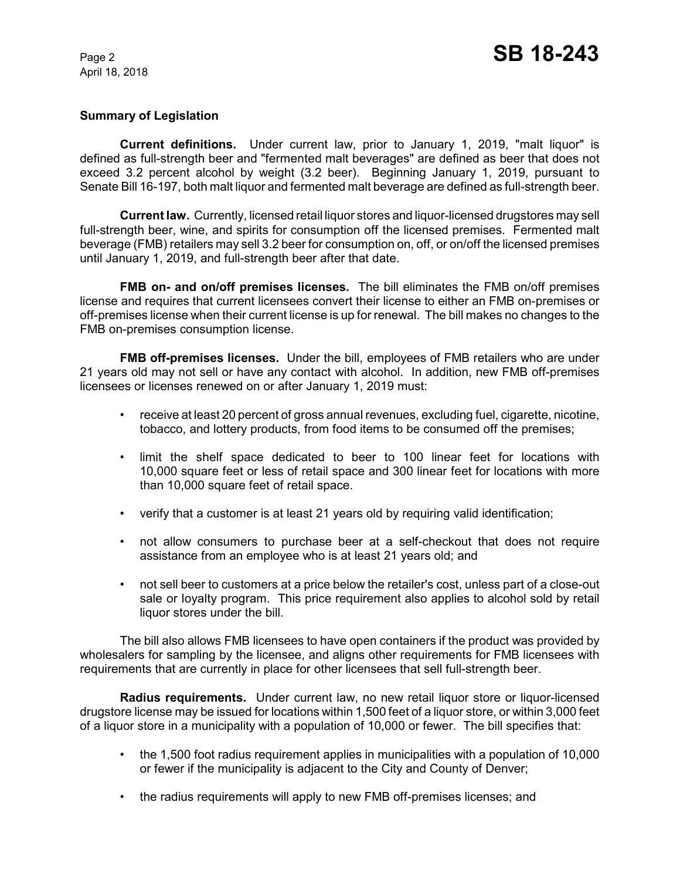## **Summary of Legislation**

**Current definitions.** Under current law, prior to January 1, 2019, "malt liquor" is defined as full-strength beer and "fermented malt beverages" are defined as beer that does not exceed 3.2 percent alcohol by weight (3.2 beer). Beginning January 1, 2019, pursuant to Senate Bill 16-197, both malt liquor and fermented malt beverage are defined as full-strength beer.

**Current law.** Currently, licensed retail liquor stores and liquor-licensed drugstores may sell full-strength beer, wine, and spirits for consumption off the licensed premises. Fermented malt beverage (FMB) retailers may sell 3.2 beer for consumption on, off, or on/off the licensed premises until January 1, 2019, and full-strength beer after that date.

**FMB on- and on/off premises licenses.** The bill eliminates the FMB on/off premises license and requires that current licensees convert their license to either an FMB on-premises or off-premises license when their current license is up for renewal. The bill makes no changes to the FMB on-premises consumption license.

**FMB off-premises licenses.** Under the bill, employees of FMB retailers who are under 21 years old may not sell or have any contact with alcohol. In addition, new FMB off-premises licensees or licenses renewed on or after January 1, 2019 must:

- receive at least 20 percent of gross annual revenues, excluding fuel, cigarette, nicotine, tobacco, and lottery products, from food items to be consumed off the premises;
- limit the shelf space dedicated to beer to 100 linear feet for locations with 10,000 square feet or less of retail space and 300 linear feet for locations with more than 10,000 square feet of retail space.
- verify that a customer is at least 21 years old by requiring valid identification;
- not allow consumers to purchase beer at a self-checkout that does not require assistance from an employee who is at least 21 years old; and
- not sell beer to customers at a price below the retailer's cost, unless part of a close-out sale or loyalty program. This price requirement also applies to alcohol sold by retail liquor stores under the bill.

The bill also allows FMB licensees to have open containers if the product was provided by wholesalers for sampling by the licensee, and aligns other requirements for FMB licensees with requirements that are currently in place for other licensees that sell full-strength beer.

**Radius requirements.** Under current law, no new retail liquor store or liquor-licensed drugstore license may be issued for locations within 1,500 feet of a liquor store, or within 3,000 feet of a liquor store in a municipality with a population of 10,000 or fewer. The bill specifies that:

- the 1,500 foot radius requirement applies in municipalities with a population of 10,000 or fewer if the municipality is adjacent to the City and County of Denver;
- the radius requirements will apply to new FMB off-premises licenses; and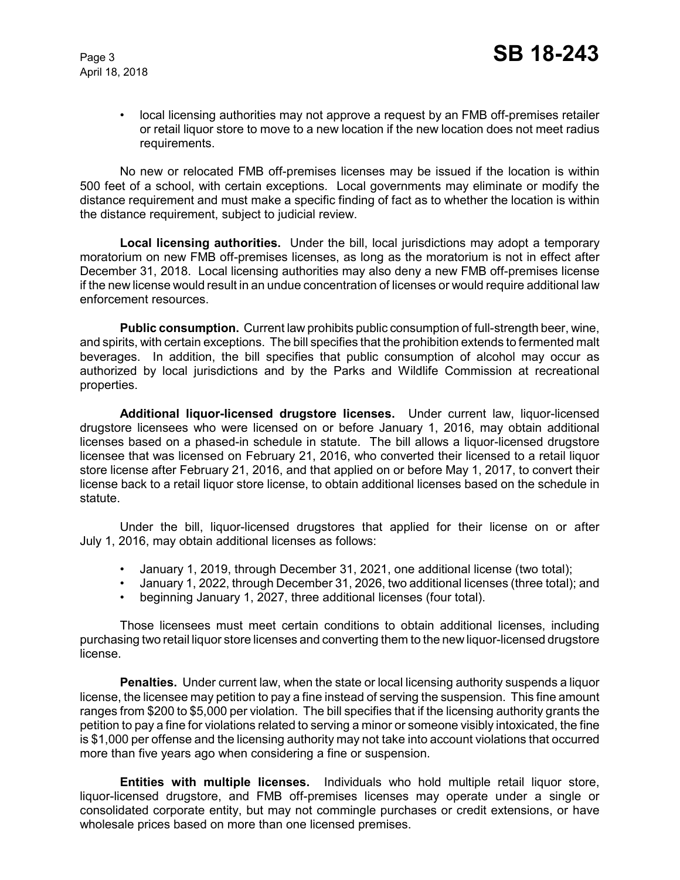• local licensing authorities may not approve a request by an FMB off-premises retailer or retail liquor store to move to a new location if the new location does not meet radius requirements.

No new or relocated FMB off-premises licenses may be issued if the location is within 500 feet of a school, with certain exceptions. Local governments may eliminate or modify the distance requirement and must make a specific finding of fact as to whether the location is within the distance requirement, subject to judicial review.

**Local licensing authorities.** Under the bill, local jurisdictions may adopt a temporary moratorium on new FMB off-premises licenses, as long as the moratorium is not in effect after December 31, 2018. Local licensing authorities may also deny a new FMB off-premises license if the new license would result in an undue concentration of licenses or would require additional law enforcement resources.

**Public consumption.** Current law prohibits public consumption of full-strength beer, wine, and spirits, with certain exceptions. The bill specifies that the prohibition extends to fermented malt beverages. In addition, the bill specifies that public consumption of alcohol may occur as authorized by local jurisdictions and by the Parks and Wildlife Commission at recreational properties.

**Additional liquor-licensed drugstore licenses.** Under current law, liquor-licensed drugstore licensees who were licensed on or before January 1, 2016, may obtain additional licenses based on a phased-in schedule in statute. The bill allows a liquor-licensed drugstore licensee that was licensed on February 21, 2016, who converted their licensed to a retail liquor store license after February 21, 2016, and that applied on or before May 1, 2017, to convert their license back to a retail liquor store license, to obtain additional licenses based on the schedule in statute.

Under the bill, liquor-licensed drugstores that applied for their license on or after July 1, 2016, may obtain additional licenses as follows:

- January 1, 2019, through December 31, 2021, one additional license (two total);
- January 1, 2022, through December 31, 2026, two additional licenses (three total); and
- beginning January 1, 2027, three additional licenses (four total).

Those licensees must meet certain conditions to obtain additional licenses, including purchasing two retail liquor store licenses and converting them to the new liquor-licensed drugstore license.

**Penalties.** Under current law, when the state or local licensing authority suspends a liquor license, the licensee may petition to pay a fine instead of serving the suspension. This fine amount ranges from \$200 to \$5,000 per violation. The bill specifies that if the licensing authority grants the petition to pay a fine for violations related to serving a minor or someone visibly intoxicated, the fine is \$1,000 per offense and the licensing authority may not take into account violations that occurred more than five years ago when considering a fine or suspension.

**Entities with multiple licenses.** Individuals who hold multiple retail liquor store, liquor-licensed drugstore, and FMB off-premises licenses may operate under a single or consolidated corporate entity, but may not commingle purchases or credit extensions, or have wholesale prices based on more than one licensed premises.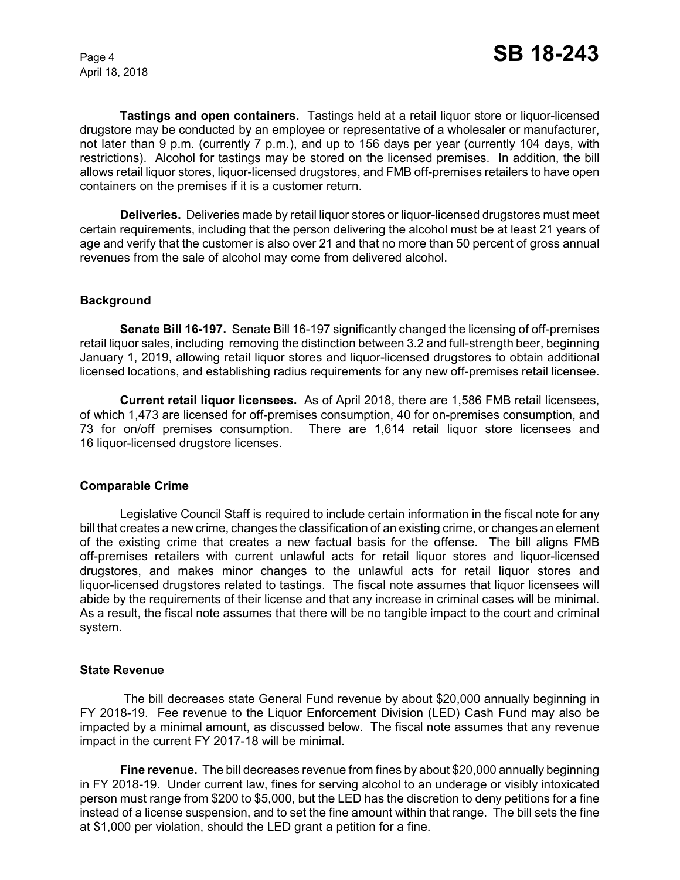**Tastings and open containers.** Tastings held at a retail liquor store or liquor-licensed drugstore may be conducted by an employee or representative of a wholesaler or manufacturer, not later than 9 p.m. (currently 7 p.m.), and up to 156 days per year (currently 104 days, with restrictions). Alcohol for tastings may be stored on the licensed premises. In addition, the bill allows retail liquor stores, liquor-licensed drugstores, and FMB off-premises retailers to have open containers on the premises if it is a customer return.

**Deliveries.** Deliveries made by retail liquor stores or liquor-licensed drugstores must meet certain requirements, including that the person delivering the alcohol must be at least 21 years of age and verify that the customer is also over 21 and that no more than 50 percent of gross annual revenues from the sale of alcohol may come from delivered alcohol.

#### **Background**

**Senate Bill 16-197.** Senate Bill 16-197 significantly changed the licensing of off-premises retail liquor sales, including removing the distinction between 3.2 and full-strength beer, beginning January 1, 2019, allowing retail liquor stores and liquor-licensed drugstores to obtain additional licensed locations, and establishing radius requirements for any new off-premises retail licensee.

**Current retail liquor licensees.** As of April 2018, there are 1,586 FMB retail licensees, of which 1,473 are licensed for off-premises consumption, 40 for on-premises consumption, and 73 for on/off premises consumption. There are 1,614 retail liquor store licensees and 16 liquor-licensed drugstore licenses.

#### **Comparable Crime**

Legislative Council Staff is required to include certain information in the fiscal note for any bill that creates a new crime, changes the classification of an existing crime, or changes an element of the existing crime that creates a new factual basis for the offense. The bill aligns FMB off-premises retailers with current unlawful acts for retail liquor stores and liquor-licensed drugstores, and makes minor changes to the unlawful acts for retail liquor stores and liquor-licensed drugstores related to tastings. The fiscal note assumes that liquor licensees will abide by the requirements of their license and that any increase in criminal cases will be minimal. As a result, the fiscal note assumes that there will be no tangible impact to the court and criminal system.

#### **State Revenue**

The bill decreases state General Fund revenue by about \$20,000 annually beginning in FY 2018-19. Fee revenue to the Liquor Enforcement Division (LED) Cash Fund may also be impacted by a minimal amount, as discussed below. The fiscal note assumes that any revenue impact in the current FY 2017-18 will be minimal.

**Fine revenue.** The bill decreases revenue from fines by about \$20,000 annually beginning in FY 2018-19. Under current law, fines for serving alcohol to an underage or visibly intoxicated person must range from \$200 to \$5,000, but the LED has the discretion to deny petitions for a fine instead of a license suspension, and to set the fine amount within that range. The bill sets the fine at \$1,000 per violation, should the LED grant a petition for a fine.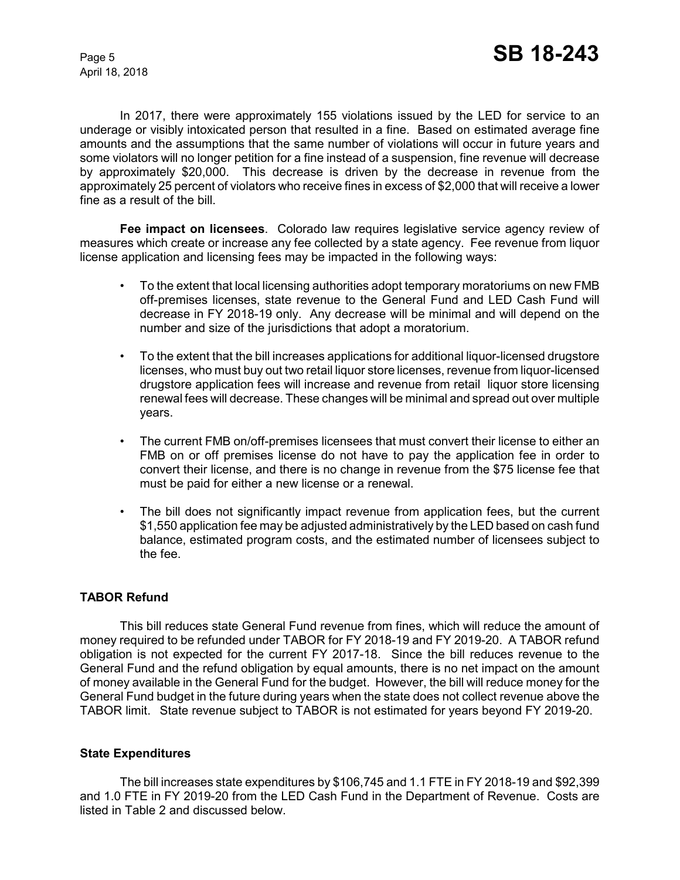In 2017, there were approximately 155 violations issued by the LED for service to an underage or visibly intoxicated person that resulted in a fine. Based on estimated average fine amounts and the assumptions that the same number of violations will occur in future years and some violators will no longer petition for a fine instead of a suspension, fine revenue will decrease by approximately \$20,000. This decrease is driven by the decrease in revenue from the approximately 25 percent of violators who receive fines in excess of \$2,000 that will receive a lower fine as a result of the bill.

**Fee impact on licensees**. Colorado law requires legislative service agency review of measures which create or increase any fee collected by a state agency. Fee revenue from liquor license application and licensing fees may be impacted in the following ways:

- To the extent that local licensing authorities adopt temporary moratoriums on new FMB off-premises licenses, state revenue to the General Fund and LED Cash Fund will decrease in FY 2018-19 only. Any decrease will be minimal and will depend on the number and size of the jurisdictions that adopt a moratorium.
- To the extent that the bill increases applications for additional liquor-licensed drugstore licenses, who must buy out two retail liquor store licenses, revenue from liquor-licensed drugstore application fees will increase and revenue from retail liquor store licensing renewal fees will decrease. These changes will be minimal and spread out over multiple years.
- The current FMB on/off-premises licensees that must convert their license to either an FMB on or off premises license do not have to pay the application fee in order to convert their license, and there is no change in revenue from the \$75 license fee that must be paid for either a new license or a renewal.
- The bill does not significantly impact revenue from application fees, but the current \$1,550 application fee may be adjusted administratively by the LED based on cash fund balance, estimated program costs, and the estimated number of licensees subject to the fee.

# **TABOR Refund**

This bill reduces state General Fund revenue from fines, which will reduce the amount of money required to be refunded under TABOR for FY 2018-19 and FY 2019-20. A TABOR refund obligation is not expected for the current FY 2017-18. Since the bill reduces revenue to the General Fund and the refund obligation by equal amounts, there is no net impact on the amount of money available in the General Fund for the budget. However, the bill will reduce money for the General Fund budget in the future during years when the state does not collect revenue above the TABOR limit. State revenue subject to TABOR is not estimated for years beyond FY 2019-20.

#### **State Expenditures**

The bill increases state expenditures by \$106,745 and 1.1 FTE in FY 2018-19 and \$92,399 and 1.0 FTE in FY 2019-20 from the LED Cash Fund in the Department of Revenue. Costs are listed in Table 2 and discussed below.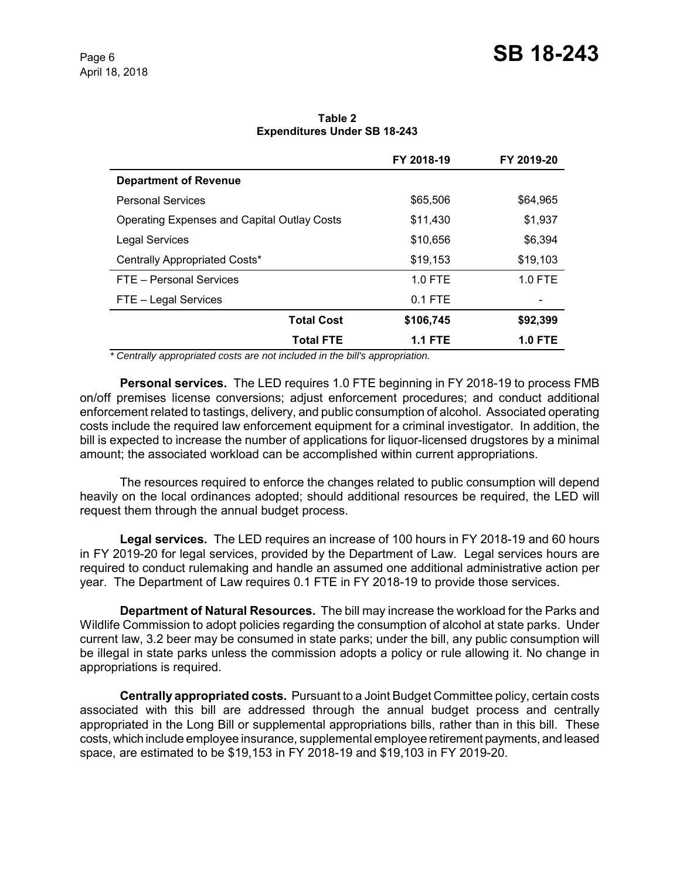|                                                    | FY 2018-19     | FY 2019-20     |
|----------------------------------------------------|----------------|----------------|
| <b>Department of Revenue</b>                       |                |                |
| <b>Personal Services</b>                           | \$65,506       | \$64,965       |
| <b>Operating Expenses and Capital Outlay Costs</b> | \$11,430       | \$1,937        |
| <b>Legal Services</b>                              | \$10,656       | \$6,394        |
| Centrally Appropriated Costs*                      | \$19,153       | \$19,103       |
| FTE - Personal Services                            | $1.0$ FTE      | $1.0$ FTE      |
| FTE - Legal Services                               | $0.1$ FTE      |                |
| <b>Total Cost</b>                                  | \$106,745      | \$92,399       |
| <b>Total FTE</b>                                   | <b>1.1 FTE</b> | <b>1.0 FTE</b> |

**Table 2 Expenditures Under SB 18-243**

 *\* Centrally appropriated costs are not included in the bill's appropriation.*

**Personal services.** The LED requires 1.0 FTE beginning in FY 2018-19 to process FMB on/off premises license conversions; adjust enforcement procedures; and conduct additional enforcement related to tastings, delivery, and public consumption of alcohol. Associated operating costs include the required law enforcement equipment for a criminal investigator. In addition, the bill is expected to increase the number of applications for liquor-licensed drugstores by a minimal amount; the associated workload can be accomplished within current appropriations.

The resources required to enforce the changes related to public consumption will depend heavily on the local ordinances adopted; should additional resources be required, the LED will request them through the annual budget process.

**Legal services.** The LED requires an increase of 100 hours in FY 2018-19 and 60 hours in FY 2019-20 for legal services, provided by the Department of Law. Legal services hours are required to conduct rulemaking and handle an assumed one additional administrative action per year. The Department of Law requires 0.1 FTE in FY 2018-19 to provide those services.

**Department of Natural Resources.** The bill may increase the workload for the Parks and Wildlife Commission to adopt policies regarding the consumption of alcohol at state parks. Under current law, 3.2 beer may be consumed in state parks; under the bill, any public consumption will be illegal in state parks unless the commission adopts a policy or rule allowing it. No change in appropriations is required.

**Centrally appropriated costs.** Pursuant to a Joint Budget Committee policy, certain costs associated with this bill are addressed through the annual budget process and centrally appropriated in the Long Bill or supplemental appropriations bills, rather than in this bill. These costs, which include employee insurance, supplemental employee retirement payments, and leased space, are estimated to be \$19,153 in FY 2018-19 and \$19,103 in FY 2019-20.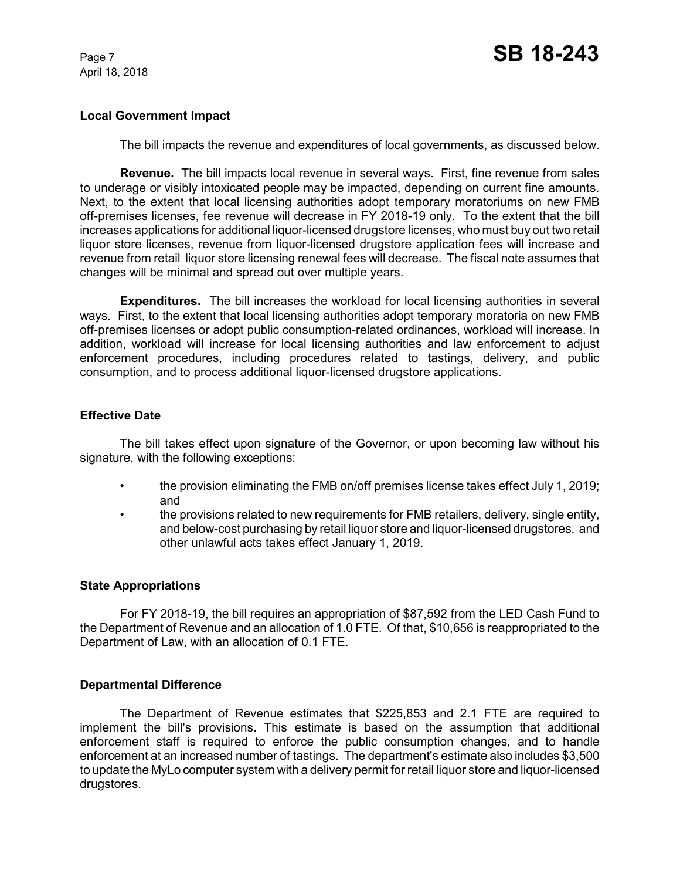## **Local Government Impact**

The bill impacts the revenue and expenditures of local governments, as discussed below.

**Revenue.** The bill impacts local revenue in several ways. First, fine revenue from sales to underage or visibly intoxicated people may be impacted, depending on current fine amounts. Next, to the extent that local licensing authorities adopt temporary moratoriums on new FMB off-premises licenses, fee revenue will decrease in FY 2018-19 only. To the extent that the bill increases applications for additional liquor-licensed drugstore licenses, who must buy out two retail liquor store licenses, revenue from liquor-licensed drugstore application fees will increase and revenue from retail liquor store licensing renewal fees will decrease. The fiscal note assumes that changes will be minimal and spread out over multiple years.

**Expenditures.** The bill increases the workload for local licensing authorities in several ways. First, to the extent that local licensing authorities adopt temporary moratoria on new FMB off-premises licenses or adopt public consumption-related ordinances, workload will increase. In addition, workload will increase for local licensing authorities and law enforcement to adjust enforcement procedures, including procedures related to tastings, delivery, and public consumption, and to process additional liquor-licensed drugstore applications.

# **Effective Date**

The bill takes effect upon signature of the Governor, or upon becoming law without his signature, with the following exceptions:

- the provision eliminating the FMB on/off premises license takes effect July 1, 2019; and
- the provisions related to new requirements for FMB retailers, delivery, single entity, and below-cost purchasing by retail liquor store and liquor-licensed drugstores, and other unlawful acts takes effect January 1, 2019.

#### **State Appropriations**

For FY 2018-19, the bill requires an appropriation of \$87,592 from the LED Cash Fund to the Department of Revenue and an allocation of 1.0 FTE. Of that, \$10,656 is reappropriated to the Department of Law, with an allocation of 0.1 FTE.

### **Departmental Difference**

The Department of Revenue estimates that \$225,853 and 2.1 FTE are required to implement the bill's provisions. This estimate is based on the assumption that additional enforcement staff is required to enforce the public consumption changes, and to handle enforcement at an increased number of tastings. The department's estimate also includes \$3,500 to update the MyLo computer system with a delivery permit for retail liquor store and liquor-licensed drugstores.